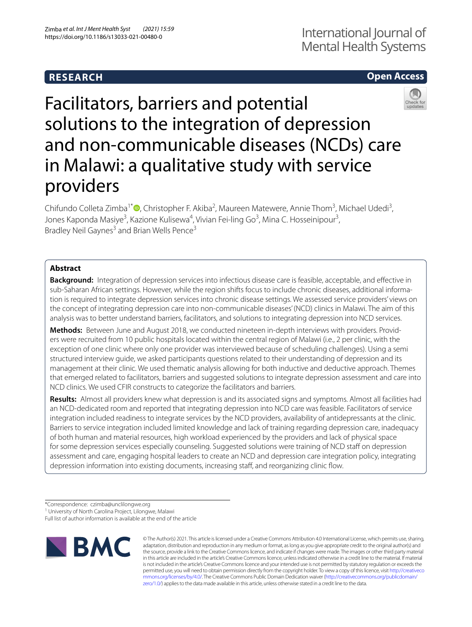# **RESEARCH**

# **Open Access**



Facilitators, barriers and potential solutions to the integration of depression and non-communicable diseases (NCDs) care in Malawi: a qualitative study with service providers

Chifundo Colleta Zimba<sup>1\*</sup><sup>®</sup>[,](http://orcid.org/0000-0003-4518-589X) Christopher F. Akiba<sup>2</sup>, Maureen Matewere, Annie Thom<sup>3</sup>, Michael Udedi<sup>3</sup>, Jones Kaponda Masiye<sup>3</sup>, Kazione Kulisewa<sup>4</sup>, Vivian Fei-ling Go<sup>3</sup>, Mina C. Hosseinipour<sup>3</sup>, Bradley Neil Gaynes<sup>3</sup> and Brian Wells Pence<sup>3</sup>

# **Abstract**

**Background:** Integration of depression services into infectious disease care is feasible, acceptable, and efective in sub-Saharan African settings. However, while the region shifts focus to include chronic diseases, additional information is required to integrate depression services into chronic disease settings. We assessed service providers' views on the concept of integrating depression care into non-communicable diseases' (NCD) clinics in Malawi. The aim of this analysis was to better understand barriers, facilitators, and solutions to integrating depression into NCD services.

Methods: Between June and August 2018, we conducted nineteen in-depth interviews with providers. Providers were recruited from 10 public hospitals located within the central region of Malawi (i.e., 2 per clinic, with the exception of one clinic where only one provider was interviewed because of scheduling challenges). Using a semi structured interview guide, we asked participants questions related to their understanding of depression and its management at their clinic. We used thematic analysis allowing for both inductive and deductive approach. Themes that emerged related to facilitators, barriers and suggested solutions to integrate depression assessment and care into NCD clinics. We used CFIR constructs to categorize the facilitators and barriers.

**Results:** Almost all providers knew what depression is and its associated signs and symptoms. Almost all facilities had an NCD-dedicated room and reported that integrating depression into NCD care was feasible. Facilitators of service integration included readiness to integrate services by the NCD providers, availability of antidepressants at the clinic. Barriers to service integration included limited knowledge and lack of training regarding depression care, inadequacy of both human and material resources, high workload experienced by the providers and lack of physical space for some depression services especially counseling. Suggested solutions were training of NCD staff on depression assessment and care, engaging hospital leaders to create an NCD and depression care integration policy, integrating depression information into existing documents, increasing staff, and reorganizing clinic flow.

\*Correspondence: czimba@unclilongwe.org

Full list of author information is available at the end of the article



© The Author(s) 2021. This article is licensed under a Creative Commons Attribution 4.0 International License, which permits use, sharing, adaptation, distribution and reproduction in any medium or format, as long as you give appropriate credit to the original author(s) and the source, provide a link to the Creative Commons licence, and indicate if changes were made. The images or other third party material in this article are included in the article's Creative Commons licence, unless indicated otherwise in a credit line to the material. If material is not included in the article's Creative Commons licence and your intended use is not permitted by statutory regulation or exceeds the permitted use, you will need to obtain permission directly from the copyright holder. To view a copy of this licence, visit [http://creativeco](http://creativecommons.org/licenses/by/4.0/) [mmons.org/licenses/by/4.0/.](http://creativecommons.org/licenses/by/4.0/) The Creative Commons Public Domain Dedication waiver ([http://creativecommons.org/publicdomain/](http://creativecommons.org/publicdomain/zero/1.0/) [zero/1.0/\)](http://creativecommons.org/publicdomain/zero/1.0/) applies to the data made available in this article, unless otherwise stated in a credit line to the data.

<sup>&</sup>lt;sup>1</sup> University of North Carolina Project, Lilongwe, Malawi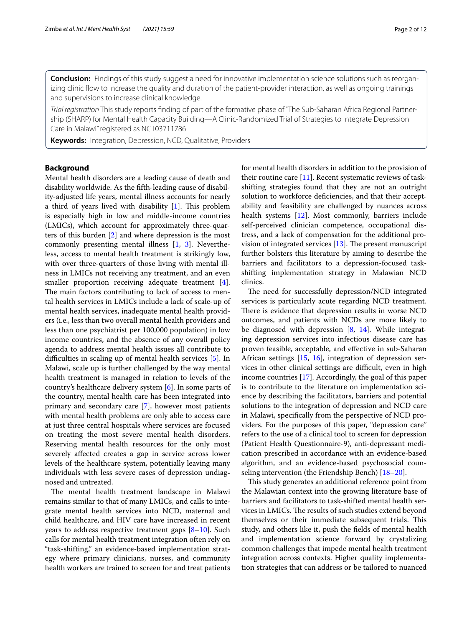**Conclusion:** Findings of this study suggest a need for innovative implementation science solutions such as reorganizing clinic fow to increase the quality and duration of the patient-provider interaction, as well as ongoing trainings and supervisions to increase clinical knowledge.

*Trial registration* This study reports fnding of part of the formative phase of "The Sub-Saharan Africa Regional Partner‑ ship (SHARP) for Mental Health Capacity Building—A Clinic-Randomized Trial of Strategies to Integrate Depression Care in Malawi" registered as NCT03711786

**Keywords:** Integration, Depression, NCD, Qualitative, Providers

# **Background**

Mental health disorders are a leading cause of death and disability worldwide. As the ffth-leading cause of disability-adjusted life years, mental illness accounts for nearly a third of years lived with disability  $[1]$  $[1]$ . This problem is especially high in low and middle-income countries (LMICs), which account for approximately three-quarters of this burden [[2\]](#page-10-1) and where depression is the most commonly presenting mental illness [\[1,](#page-10-0) [3](#page-10-2)]. Nevertheless, access to mental health treatment is strikingly low, with over three-quarters of those living with mental illness in LMICs not receiving any treatment, and an even smaller proportion receiving adequate treatment [\[4](#page-10-3)]. The main factors contributing to lack of access to mental health services in LMICs include a lack of scale-up of mental health services, inadequate mental health providers (i.e., less than two overall mental health providers and less than one psychiatrist per 100,000 population) in low income countries, and the absence of any overall policy agenda to address mental health issues all contribute to difficulties in scaling up of mental health services [\[5](#page-10-4)]. In Malawi, scale up is further challenged by the way mental health treatment is managed in relation to levels of the country's healthcare delivery system [[6\]](#page-10-5). In some parts of the country, mental health care has been integrated into primary and secondary care [\[7](#page-10-6)], however most patients with mental health problems are only able to access care at just three central hospitals where services are focused on treating the most severe mental health disorders. Reserving mental health resources for the only most severely afected creates a gap in service across lower levels of the healthcare system, potentially leaving many individuals with less severe cases of depression undiagnosed and untreated.

The mental health treatment landscape in Malawi remains similar to that of many LMICs, and calls to integrate mental health services into NCD, maternal and child healthcare, and HIV care have increased in recent years to address respective treatment gaps [[8–](#page-10-7)[10\]](#page-10-8). Such calls for mental health treatment integration often rely on "task-shifting," an evidence-based implementation strategy where primary clinicians, nurses, and community health workers are trained to screen for and treat patients for mental health disorders in addition to the provision of their routine care  $[11]$  $[11]$  $[11]$ . Recent systematic reviews of taskshifting strategies found that they are not an outright solution to workforce defciencies, and that their acceptability and feasibility are challenged by nuances across health systems [\[12\]](#page-11-1). Most commonly, barriers include self-perceived clinician competence, occupational distress, and a lack of compensation for the additional provision of integrated services  $[13]$  $[13]$ . The present manuscript further bolsters this literature by aiming to describe the barriers and facilitators to a depression-focused taskshifting implementation strategy in Malawian NCD clinics.

The need for successfully depression/NCD integrated services is particularly acute regarding NCD treatment. There is evidence that depression results in worse NCD outcomes, and patients with NCDs are more likely to be diagnosed with depression  $[8, 14]$  $[8, 14]$  $[8, 14]$  $[8, 14]$ . While integrating depression services into infectious disease care has proven feasible, acceptable, and efective in sub-Saharan African settings [\[15](#page-11-4), [16](#page-11-5)], integration of depression services in other clinical settings are difficult, even in high income countries [\[17](#page-11-6)]. Accordingly, the goal of this paper is to contribute to the literature on implementation science by describing the facilitators, barriers and potential solutions to the integration of depression and NCD care in Malawi, specifcally from the perspective of NCD providers. For the purposes of this paper, "depression care" refers to the use of a clinical tool to screen for depression (Patient Health Questionnaire-9), anti-depressant medication prescribed in accordance with an evidence-based algorithm, and an evidence-based psychosocial counseling intervention (the Friendship Bench) [[18](#page-11-7)[–20](#page-11-8)].

This study generates an additional reference point from the Malawian context into the growing literature base of barriers and facilitators to task-shifted mental health services in LMICs. The results of such studies extend beyond themselves or their immediate subsequent trials. This study, and others like it, push the felds of mental health and implementation science forward by crystalizing common challenges that impede mental health treatment integration across contexts. Higher quality implementation strategies that can address or be tailored to nuanced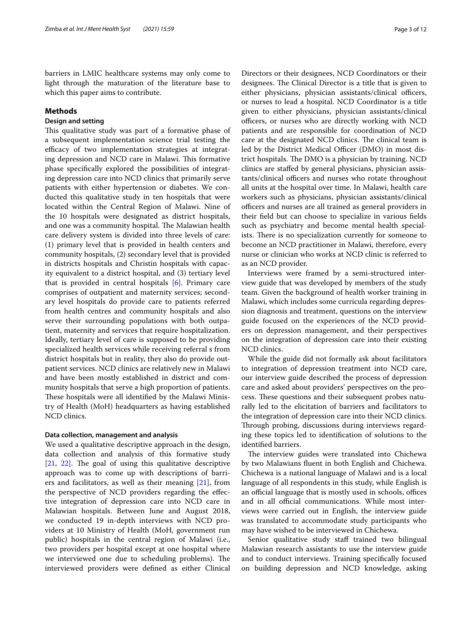barriers in LMIC healthcare systems may only come to light through the maturation of the literature base to which this paper aims to contribute.

# **Methods**

# **Design and setting**

This qualitative study was part of a formative phase of a subsequent implementation science trial testing the efficacy of two implementation strategies at integrating depression and NCD care in Malawi. This formative phase specifcally explored the possibilities of integrating depression care into NCD clinics that primarily serve patients with either hypertension or diabetes. We conducted this qualitative study in ten hospitals that were located within the Central Region of Malawi. Nine of the 10 hospitals were designated as district hospitals, and one was a community hospital. The Malawian health care delivery system is divided into three levels of care: (1) primary level that is provided in health centers and community hospitals, (2) secondary level that is provided in districts hospitals and Christin hospitals with capacity equivalent to a district hospital, and (3) tertiary level that is provided in central hospitals [\[6](#page-10-5)]. Primary care comprises of outpatient and maternity services; secondary level hospitals do provide care to patients referred from health centres and community hospitals and also serve their surrounding populations with both outpatient, maternity and services that require hospitalization. Ideally, tertiary level of care is supposed to be providing specialized health services while receiving referral s from district hospitals but in reality, they also do provide outpatient services. NCD clinics are relatively new in Malawi and have been mostly established in district and community hospitals that serve a high proportion of patients. These hospitals were all identified by the Malawi Ministry of Health (MoH) headquarters as having established NCD clinics.

#### **Data collection, management and analysis**

We used a qualitative descriptive approach in the design, data collection and analysis of this formative study  $[21, 22]$  $[21, 22]$  $[21, 22]$  $[21, 22]$ . The goal of using this qualitative descriptive approach was to come up with descriptions of barriers and facilitators, as well as their meaning [\[21](#page-11-9)], from the perspective of NCD providers regarding the efective integration of depression care into NCD care in Malawian hospitals. Between June and August 2018, we conducted 19 in-depth interviews with NCD providers at 10 Ministry of Health (MoH, government run public) hospitals in the central region of Malawi (i.e., two providers per hospital except at one hospital where we interviewed one due to scheduling problems). The interviewed providers were defned as either Clinical Directors or their designees, NCD Coordinators or their designees. The Clinical Director is a title that is given to either physicians, physician assistants/clinical officers, or nurses to lead a hospital. NCD Coordinator is a title given to either physicians, physician assistants/clinical officers, or nurses who are directly working with NCD patients and are responsible for coordination of NCD care at the designated NCD clinics. The clinical team is led by the District Medical Officer (DMO) in most district hospitals. The DMO is a physician by training. NCD clinics are stafed by general physicians, physician assistants/clinical officers and nurses who rotate throughout all units at the hospital over time. In Malawi, health care workers such as physicians, physician assistants/clinical officers and nurses are all trained as general providers in their feld but can choose to specialize in various felds such as psychiatry and become mental health specialists. There is no specialization currently for someone to become an NCD practitioner in Malawi, therefore, every nurse or clinician who works at NCD clinic is referred to as an NCD provider.

Interviews were framed by a semi-structured interview guide that was developed by members of the study team. Given the background of health worker training in Malawi, which includes some curricula regarding depression diagnosis and treatment, questions on the interview guide focused on the experiences of the NCD providers on depression management, and their perspectives on the integration of depression care into their existing NCD clinics.

While the guide did not formally ask about facilitators to integration of depression treatment into NCD care, our interview guide described the process of depression care and asked about providers' perspectives on the process. These questions and their subsequent probes naturally led to the elicitation of barriers and facilitators to the integration of depression care into their NCD clinics. Through probing, discussions during interviews regarding these topics led to identifcation of solutions to the identifed barriers.

The interview guides were translated into Chichewa by two Malawians fuent in both English and Chichewa. Chichewa is a national language of Malawi and is a local language of all respondents in this study, while English is an official language that is mostly used in schools, offices and in all official communications. While most interviews were carried out in English, the interview guide was translated to accommodate study participants who may have wished to be interviewed in Chichewa.

Senior qualitative study staff trained two bilingual Malawian research assistants to use the interview guide and to conduct interviews. Training specifcally focused on building depression and NCD knowledge, asking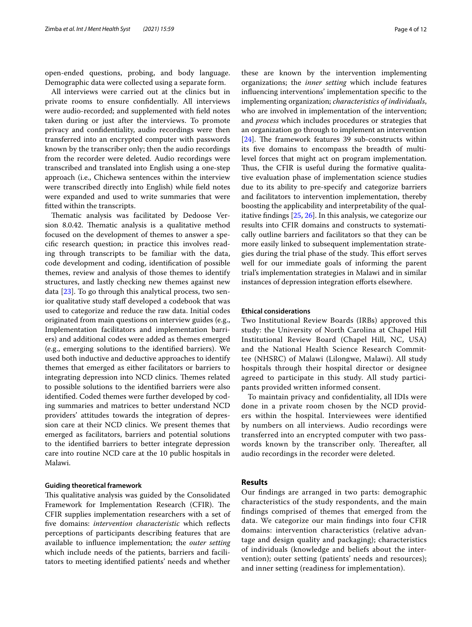open-ended questions, probing, and body language. Demographic data were collected using a separate form.

All interviews were carried out at the clinics but in private rooms to ensure confdentially. All interviews were audio-recorded; and supplemented with feld notes taken during or just after the interviews. To promote privacy and confdentiality, audio recordings were then transferred into an encrypted computer with passwords known by the transcriber only; then the audio recordings from the recorder were deleted. Audio recordings were transcribed and translated into English using a one-step approach (i.e., Chichewa sentences within the interview were transcribed directly into English) while feld notes were expanded and used to write summaries that were ftted within the transcripts.

Thematic analysis was facilitated by Dedoose Version 8.0.42. Thematic analysis is a qualitative method focused on the development of themes to answer a specifc research question; in practice this involves reading through transcripts to be familiar with the data, code development and coding, identifcation of possible themes, review and analysis of those themes to identify structures, and lastly checking new themes against new data [\[23\]](#page-11-11). To go through this analytical process, two senior qualitative study staff developed a codebook that was used to categorize and reduce the raw data. Initial codes originated from main questions on interview guides (e.g., Implementation facilitators and implementation barriers) and additional codes were added as themes emerged (e.g., emerging solutions to the identifed barriers). We used both inductive and deductive approaches to identify themes that emerged as either facilitators or barriers to integrating depression into NCD clinics. Themes related to possible solutions to the identifed barriers were also identifed. Coded themes were further developed by coding summaries and matrices to better understand NCD providers' attitudes towards the integration of depression care at their NCD clinics. We present themes that emerged as facilitators, barriers and potential solutions to the identifed barriers to better integrate depression care into routine NCD care at the 10 public hospitals in Malawi.

## **Guiding theoretical framework**

This qualitative analysis was guided by the Consolidated Framework for Implementation Research (CFIR). The CFIR supplies implementation researchers with a set of fve domains: *intervention characteristic* which refects perceptions of participants describing features that are available to infuence implementation; the *outer setting* which include needs of the patients, barriers and facilitators to meeting identifed patients' needs and whether

these are known by the intervention implementing organizations; the *inner setting* which include features infuencing interventions' implementation specifc to the implementing organization; *characteristics of individuals*, who are involved in implementation of the intervention; and *process* which includes procedures or strategies that an organization go through to implement an intervention [ $24$ ]. The framework features 39 sub-constructs within its fve domains to encompass the breadth of multilevel forces that might act on program implementation. Thus, the CFIR is useful during the formative qualitative evaluation phase of implementation science studies due to its ability to pre-specify and categorize barriers and facilitators to intervention implementation, thereby boosting the applicability and interpretability of the qualitative fndings [\[25](#page-11-13), [26](#page-11-14)]. In this analysis, we categorize our results into CFIR domains and constructs to systematically outline barriers and facilitators so that they can be more easily linked to subsequent implementation strategies during the trial phase of the study. This effort serves well for our immediate goals of informing the parent trial's implementation strategies in Malawi and in similar instances of depression integration efforts elsewhere.

### **Ethical considerations**

Two Institutional Review Boards (IRBs) approved this study: the University of North Carolina at Chapel Hill Institutional Review Board (Chapel Hill, NC, USA) and the National Health Science Research Committee (NHSRC) of Malawi (Lilongwe, Malawi). All study hospitals through their hospital director or designee agreed to participate in this study. All study participants provided written informed consent.

To maintain privacy and confdentiality, all IDIs were done in a private room chosen by the NCD providers within the hospital. Interviewees were identifed by numbers on all interviews. Audio recordings were transferred into an encrypted computer with two passwords known by the transcriber only. Thereafter, all audio recordings in the recorder were deleted.

### **Results**

Our fndings are arranged in two parts: demographic characteristics of the study respondents, and the main fndings comprised of themes that emerged from the data. We categorize our main fndings into four CFIR domains: intervention characteristics (relative advantage and design quality and packaging); characteristics of individuals (knowledge and beliefs about the intervention); outer setting (patients' needs and resources); and inner setting (readiness for implementation).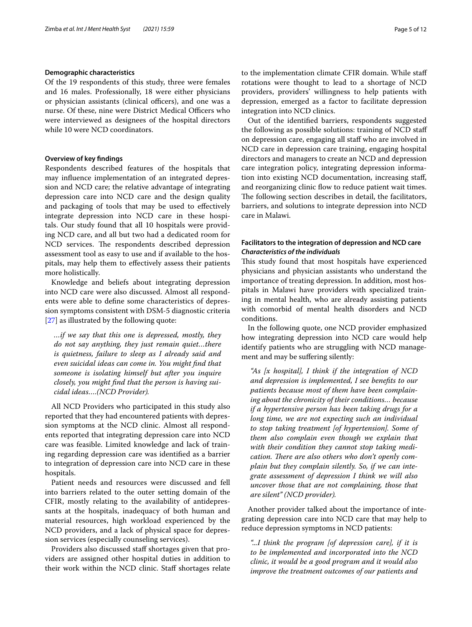### **Demographic characteristics**

Of the 19 respondents of this study, three were females and 16 males. Professionally, 18 were either physicians or physician assistants (clinical officers), and one was a nurse. Of these, nine were District Medical Officers who were interviewed as designees of the hospital directors while 10 were NCD coordinators.

# **Overview of key fndings**

Respondents described features of the hospitals that may infuence implementation of an integrated depression and NCD care; the relative advantage of integrating depression care into NCD care and the design quality and packaging of tools that may be used to efectively integrate depression into NCD care in these hospitals. Our study found that all 10 hospitals were providing NCD care, and all but two had a dedicated room for NCD services. The respondents described depression assessment tool as easy to use and if available to the hospitals, may help them to efectively assess their patients more holistically.

Knowledge and beliefs about integrating depression into NCD care were also discussed. Almost all respondents were able to defne some characteristics of depression symptoms consistent with DSM-5 diagnostic criteria [[27\]](#page-11-15) as illustrated by the following quote:

*…if we say that this one is depressed, mostly, they do not say anything, they just remain quiet…there is quietness, failure to sleep as I already said and even suicidal ideas can come in. You might fnd that someone is isolating himself but after you inquire closely, you might fnd that the person is having suicidal ideas….(NCD Provider).*

All NCD Providers who participated in this study also reported that they had encountered patients with depression symptoms at the NCD clinic. Almost all respondents reported that integrating depression care into NCD care was feasible. Limited knowledge and lack of training regarding depression care was identifed as a barrier to integration of depression care into NCD care in these hospitals.

Patient needs and resources were discussed and fell into barriers related to the outer setting domain of the CFIR, mostly relating to the availability of antidepressants at the hospitals, inadequacy of both human and material resources, high workload experienced by the NCD providers, and a lack of physical space for depression services (especially counseling services).

Providers also discussed staf shortages given that providers are assigned other hospital duties in addition to their work within the NCD clinic. Staff shortages relate to the implementation climate CFIR domain. While staf rotations were thought to lead to a shortage of NCD providers, providers' willingness to help patients with depression, emerged as a factor to facilitate depression integration into NCD clinics.

Out of the identifed barriers, respondents suggested the following as possible solutions: training of NCD staf on depression care, engaging all staf who are involved in NCD care in depression care training, engaging hospital directors and managers to create an NCD and depression care integration policy, integrating depression information into existing NCD documentation, increasing staf, and reorganizing clinic flow to reduce patient wait times. The following section describes in detail, the facilitators, barriers, and solutions to integrate depression into NCD care in Malawi.

# **Facilitators to the integration of depression and NCD care** *Characteristics of the individuals*

This study found that most hospitals have experienced physicians and physician assistants who understand the importance of treating depression. In addition, most hospitals in Malawi have providers with specialized training in mental health, who are already assisting patients with comorbid of mental health disorders and NCD conditions.

In the following quote, one NCD provider emphasized how integrating depression into NCD care would help identify patients who are struggling with NCD management and may be sufering silently:

*"As [x hospital], I think if the integration of NCD and depression is implemented, I see benefts to our patients because most of them have been complaining about the chronicity of their conditions… because if a hypertensive person has been taking drugs for a long time, we are not expecting such an individual to stop taking treatment [of hypertension]. Some of them also complain even though we explain that with their condition they cannot stop taking medi*cation. There are also others who don't openly com*plain but they complain silently. So, if we can integrate assessment of depression I think we will also uncover those that are not complaining, those that are silent" (NCD provider).*

Another provider talked about the importance of integrating depression care into NCD care that may help to reduce depression symptoms in NCD patients:

*"...I think the program [of depression care], if it is to be implemented and incorporated into the NCD clinic, it would be a good program and it would also improve the treatment outcomes of our patients and*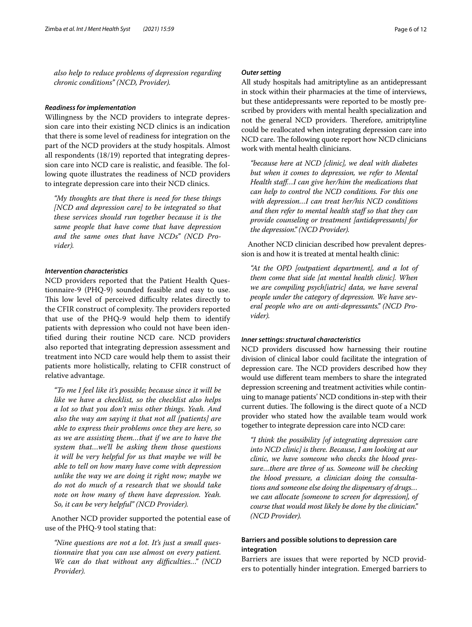*also help to reduce problems of depression regarding chronic conditions" (NCD, Provider).*

### *Readiness for implementation*

Willingness by the NCD providers to integrate depression care into their existing NCD clinics is an indication that there is some level of readiness for integration on the part of the NCD providers at the study hospitals. Almost all respondents (18/19) reported that integrating depression care into NCD care is realistic, and feasible. The following quote illustrates the readiness of NCD providers to integrate depression care into their NCD clinics.

*"My thoughts are that there is need for these things [NCD and depression care] to be integrated so that these services should run together because it is the same people that have come that have depression and the same ones that have NCDs" (NCD Provider).*

### *Intervention characteristics*

NCD providers reported that the Patient Health Questionnaire-9 (PHQ-9) sounded feasible and easy to use. This low level of perceived difficulty relates directly to the CFIR construct of complexity. The providers reported that use of the PHQ-9 would help them to identify patients with depression who could not have been identifed during their routine NCD care. NCD providers also reported that integrating depression assessment and treatment into NCD care would help them to assist their patients more holistically, relating to CFIR construct of relative advantage.

*"To me I feel like it's possible; because since it will be like we have a checklist, so the checklist also helps a lot so that you don't miss other things. Yeah. And also the way am saying it that not all [patients] are able to express their problems once they are here, so as we are assisting them…that if we are to have the system that…we'll be asking them those questions it will be very helpful for us that maybe we will be able to tell on how many have come with depression unlike the way we are doing it right now; maybe we do not do much of a research that we should take note on how many of them have depression. Yeah. So, it can be very helpful" (NCD Provider).*

Another NCD provider supported the potential ease of use of the PHQ-9 tool stating that:

*"Nine questions are not a lot. It's just a small questionnaire that you can use almost on every patient. We can do that without any difculties…" (NCD Provider).*

## *Outer setting*

All study hospitals had amitriptyline as an antidepressant in stock within their pharmacies at the time of interviews, but these antidepressants were reported to be mostly prescribed by providers with mental health specialization and not the general NCD providers. Therefore, amitriptyline could be reallocated when integrating depression care into NCD care. The following quote report how NCD clinicians work with mental health clinicians.

*"because here at NCD [clinic], we deal with diabetes but when it comes to depression, we refer to Mental Health staf…I can give her/him the medications that can help to control the NCD conditions. For this one with depression…I can treat her/his NCD conditions and then refer to mental health staf so that they can provide counseling or treatment [antidepressants] for the depression." (NCD Provider).*

Another NCD clinician described how prevalent depression is and how it is treated at mental health clinic:

*"At the OPD [outpatient department], and a lot of them come that side [at mental health clinic]. When we are compiling psych[iatric] data, we have several people under the category of depression. We have several people who are on anti-depressants." (NCD Provider).*

#### *Inner settings: structural characteristics*

NCD providers discussed how harnessing their routine division of clinical labor could facilitate the integration of depression care. The NCD providers described how they would use diferent team members to share the integrated depression screening and treatment activities while continuing to manage patients' NCD conditions in-step with their current duties. The following is the direct quote of a NCD provider who stated how the available team would work together to integrate depression care into NCD care:

*"I think the possibility [of integrating depression care into NCD clinic] is there. Because, I am looking at our clinic, we have someone who checks the blood pressure…there are three of us. Someone will be checking the blood pressure, a clinician doing the consultations and someone else doing the dispensary of drugs… we can allocate [someone to screen for depression], of course that would most likely be done by the clinician." (NCD Provider).*

# **Barriers and possible solutions to depression care integration**

Barriers are issues that were reported by NCD providers to potentially hinder integration. Emerged barriers to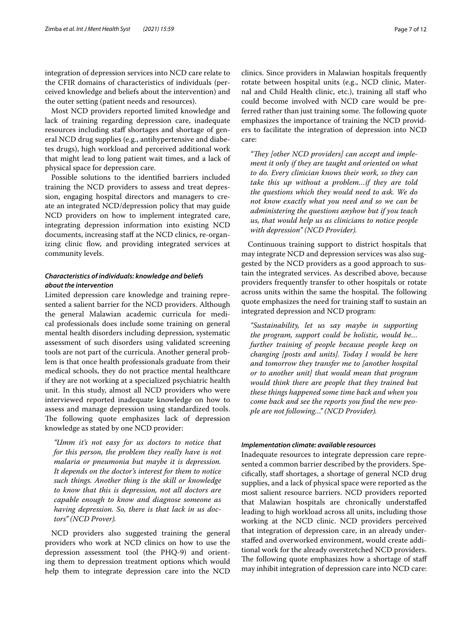integration of depression services into NCD care relate to the CFIR domains of characteristics of individuals (perceived knowledge and beliefs about the intervention) and the outer setting (patient needs and resources).

Most NCD providers reported limited knowledge and lack of training regarding depression care, inadequate resources including staf shortages and shortage of general NCD drug supplies (e.g., antihypertensive and diabetes drugs), high workload and perceived additional work that might lead to long patient wait times, and a lack of physical space for depression care.

Possible solutions to the identifed barriers included training the NCD providers to assess and treat depression, engaging hospital directors and managers to create an integrated NCD/depression policy that may guide NCD providers on how to implement integrated care, integrating depression information into existing NCD documents, increasing staff at the NCD clinics, re-organizing clinic flow, and providing integrated services at community levels.

# *Characteristics of individuals: knowledge and beliefs about the intervention*

Limited depression care knowledge and training represented a salient barrier for the NCD providers. Although the general Malawian academic curricula for medical professionals does include some training on general mental health disorders including depression, systematic assessment of such disorders using validated screening tools are not part of the curricula. Another general problem is that once health professionals graduate from their medical schools, they do not practice mental healthcare if they are not working at a specialized psychiatric health unit. In this study, almost all NCD providers who were interviewed reported inadequate knowledge on how to assess and manage depression using standardized tools. The following quote emphasizes lack of depression knowledge as stated by one NCD provider:

*"Umm it's not easy for us doctors to notice that for this person, the problem they really have is not malaria or pneumonia but maybe it is depression. It depends on the doctor's interest for them to notice such things. Another thing is the skill or knowledge to know that this is depression, not all doctors are capable enough to know and diagnose someone as having depression. So, there is that lack in us doctors" (NCD Prover).*

NCD providers also suggested training the general providers who work at NCD clinics on how to use the depression assessment tool (the PHQ-9) and orienting them to depression treatment options which would help them to integrate depression care into the NCD clinics. Since providers in Malawian hospitals frequently rotate between hospital units (e.g., NCD clinic, Maternal and Child Health clinic, etc.), training all staf who could become involved with NCD care would be preferred rather than just training some. The following quote emphasizes the importance of training the NCD providers to facilitate the integration of depression into NCD care:

"They [other NCD providers] can accept and imple*ment it only if they are taught and oriented on what to do. Every clinician knows their work, so they can take this up without a problem…if they are told the questions which they would need to ask. We do not know exactly what you need and so we can be administering the questions anyhow but if you teach us, that would help us as clinicians to notice people with depression" (NCD Provider).*

Continuous training support to district hospitals that may integrate NCD and depression services was also suggested by the NCD providers as a good approach to sustain the integrated services. As described above, because providers frequently transfer to other hospitals or rotate across units within the same the hospital. The following quote emphasizes the need for training staff to sustain an integrated depression and NCD program:

*"Sustainability, let us say maybe in supporting the program, support could be holistic, would be… further training of people because people keep on changing [posts and units]. Today I would be here and tomorrow they transfer me to [another hospital or to another unit] that would mean that program would think there are people that they trained but these things happened some time back and when you come back and see the reports you fnd the new people are not following…" (NCD Provider).*

#### *Implementation climate: available resources*

Inadequate resources to integrate depression care represented a common barrier described by the providers. Specifcally, staf shortages, a shortage of general NCD drug supplies, and a lack of physical space were reported as the most salient resource barriers. NCD providers reported that Malawian hospitals are chronically understafed leading to high workload across all units, including those working at the NCD clinic. NCD providers perceived that integration of depression care, in an already understafed and overworked environment, would create additional work for the already overstretched NCD providers. The following quote emphasizes how a shortage of staff may inhibit integration of depression care into NCD care: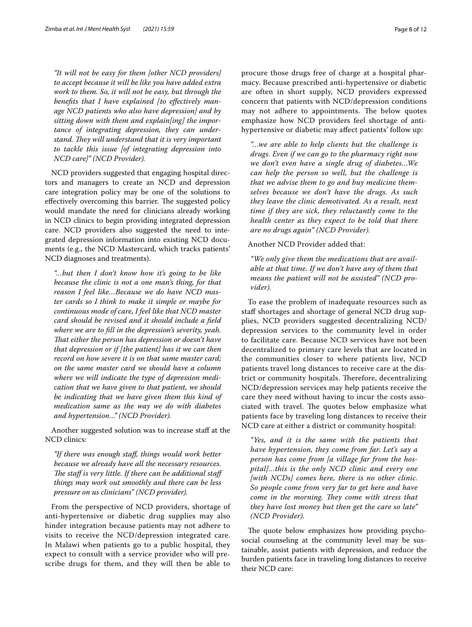*"It will not be easy for them [other NCD providers] to accept because it will be like you have added extra work to them. So, it will not be easy, but through the benefts that I have explained [to efectively manage NCD patients who also have depression] and by sitting down with them and explain[ing] the importance of integrating depression, they can understand. They will understand that it is very important to tackle this issue [of integrating depression into NCD care]" (NCD Provider).*

NCD providers suggested that engaging hospital directors and managers to create an NCD and depression care integration policy may be one of the solutions to effectively overcoming this barrier. The suggested policy would mandate the need for clinicians already working in NCD clinics to begin providing integrated depression care. NCD providers also suggested the need to integrated depression information into existing NCD documents (e.g., the NCD Mastercard, which tracks patients' NCD diagnoses and treatments).

*"…but then I don't know how it's going to be like because the clinic is not a one man's thing, for that reason I feel like…Because we do have NCD master cards so I think to make it simple or maybe for continuous mode of care, I feel like that NCD master card should be revised and it should include a feld where we are to fll in the depression's severity, yeah. Tat either the person has depression or doesn't have that depression or if [the patient] has it we can then record on how severe it is on that same master card; on the same master card we should have a column where we will indicate the type of depression medication that we have given to that patient, we should be indicating that we have given them this kind of medication same as the way we do with diabetes and hypertension…" (NCD Provider).*

Another suggested solution was to increase staf at the NCD clinics:

*"If there was enough staf, things would work better because we already have all the necessary resources.*  The staff is very little. If there can be additional staff *things may work out smoothly and there can be less pressure on us clinicians" (NCD provider).*

From the perspective of NCD providers, shortage of anti-hypertensive or diabetic drug supplies may also hinder integration because patients may not adhere to visits to receive the NCD/depression integrated care. In Malawi when patients go to a public hospital, they expect to consult with a service provider who will prescribe drugs for them, and they will then be able to procure those drugs free of charge at a hospital pharmacy. Because prescribed anti-hypertensive or diabetic are often in short supply, NCD providers expressed concern that patients with NCD/depression conditions may not adhere to appointments. The below quotes emphasize how NCD providers feel shortage of antihypertensive or diabetic may afect patients' follow up:

*"…we are able to help clients but the challenge is drugs. Even if we can go to the pharmacy right now we don't even have a single drug of diabetes…We can help the person so well, but the challenge is that we advise them to go and buy medicine themselves because we don't have the drugs. As such they leave the clinic demotivated. As a result, next time if they are sick, they reluctantly come to the health center as they expect to be told that there are no drugs again" (NCD Provider).*

# Another NCD Provider added that:

*"We only give them the medications that are available at that time. If we don't have any of them that means the patient will not be assisted" (NCD provider).*

To ease the problem of inadequate resources such as staff shortages and shortage of general NCD drug supplies, NCD providers suggested decentralizing NCD/ depression services to the community level in order to facilitate care. Because NCD services have not been decentralized to primary care levels that are located in the communities closer to where patients live, NCD patients travel long distances to receive care at the district or community hospitals. Therefore, decentralizing NCD/depression services may help patients receive the care they need without having to incur the costs associated with travel. The quotes below emphasize what patients face by traveling long distances to receive their NCD care at either a district or community hospital:

*"Yes, and it is the same with the patients that have hypertension, they come from far. Let's say a person has come from [a village far from the hospital]…this is the only NCD clinic and every one [with NCDs] comes here, there is no other clinic. So people come from very far to get here and have come in the morning. They come with stress that they have lost money but then get the care so late" (NCD Provider).*

The quote below emphasizes how providing psychosocial counseling at the community level may be sustainable, assist patients with depression, and reduce the burden patients face in traveling long distances to receive their NCD care: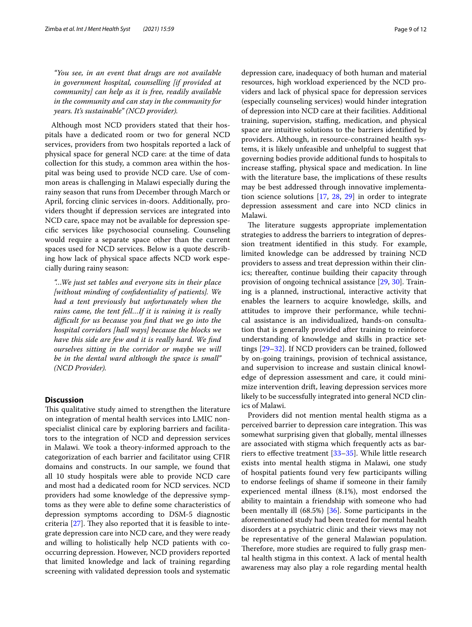*"You see, in an event that drugs are not available in government hospital, counselling [if provided at community] can help as it is free, readily available in the community and can stay in the community for years. It's sustainable" (NCD provider).*

Although most NCD providers stated that their hospitals have a dedicated room or two for general NCD services, providers from two hospitals reported a lack of physical space for general NCD care: at the time of data collection for this study, a common area within the hospital was being used to provide NCD care. Use of common areas is challenging in Malawi especially during the rainy season that runs from December through March or April, forcing clinic services in-doors. Additionally, providers thought if depression services are integrated into NCD care, space may not be available for depression specifc services like psychosocial counseling. Counseling would require a separate space other than the current spaces used for NCD services. Below is a quote describing how lack of physical space afects NCD work especially during rainy season:

*"…We just set tables and everyone sits in their place [without minding of confdentiality of patients]. We had a tent previously but unfortunately when the rains came, the tent fell…If it is raining it is really difcult for us because you fnd that we go into the hospital corridors [hall ways] because the blocks we have this side are few and it is really hard. We fnd ourselves sitting in the corridor or maybe we will be in the dental ward although the space is small" (NCD Provider).*

# **Discussion**

This qualitative study aimed to strengthen the literature on integration of mental health services into LMIC nonspecialist clinical care by exploring barriers and facilitators to the integration of NCD and depression services in Malawi. We took a theory-informed approach to the categorization of each barrier and facilitator using CFIR domains and constructs. In our sample, we found that all 10 study hospitals were able to provide NCD care and most had a dedicated room for NCD services. NCD providers had some knowledge of the depressive symptoms as they were able to defne some characteristics of depression symptoms according to DSM-5 diagnostic criteria [\[27](#page-11-15)]. They also reported that it is feasible to integrate depression care into NCD care, and they were ready and willing to holistically help NCD patients with cooccurring depression. However, NCD providers reported that limited knowledge and lack of training regarding screening with validated depression tools and systematic depression care, inadequacy of both human and material resources, high workload experienced by the NCD providers and lack of physical space for depression services (especially counseling services) would hinder integration of depression into NCD care at their facilities. Additional training, supervision, stafng, medication, and physical space are intuitive solutions to the barriers identifed by providers. Although, in resource-constrained health systems, it is likely unfeasible and unhelpful to suggest that governing bodies provide additional funds to hospitals to increase staffing, physical space and medication. In line with the literature base, the implications of these results may be best addressed through innovative implementation science solutions [[17,](#page-11-6) [28,](#page-11-16) [29\]](#page-11-17) in order to integrate depression assessment and care into NCD clinics in Malawi.

The literature suggests appropriate implementation strategies to address the barriers to integration of depression treatment identifed in this study. For example, limited knowledge can be addressed by training NCD providers to assess and treat depression within their clinics; thereafter, continue building their capacity through provision of ongoing technical assistance [[29,](#page-11-17) [30\]](#page-11-18). Training is a planned, instructional, interactive activity that enables the learners to acquire knowledge, skills, and attitudes to improve their performance, while technical assistance is an individualized, hands-on consultation that is generally provided after training to reinforce understanding of knowledge and skills in practice settings [[29](#page-11-17)[–32](#page-11-19)]. If NCD providers can be trained, followed by on-going trainings, provision of technical assistance, and supervision to increase and sustain clinical knowledge of depression assessment and care, it could minimize intervention drift, leaving depression services more likely to be successfully integrated into general NCD clinics of Malawi.

Providers did not mention mental health stigma as a perceived barrier to depression care integration. This was somewhat surprising given that globally, mental illnesses are associated with stigma which frequently acts as barriers to efective treatment [[33–](#page-11-20)[35](#page-11-21)]. While little research exists into mental health stigma in Malawi, one study of hospital patients found very few participants willing to endorse feelings of shame if someone in their family experienced mental illness (8.1%), most endorsed the ability to maintain a friendship with someone who had been mentally ill (68.5%) [[36](#page-11-22)]. Some participants in the aforementioned study had been treated for mental health disorders at a psychiatric clinic and their views may not be representative of the general Malawian population. Therefore, more studies are required to fully grasp mental health stigma in this context. A lack of mental health awareness may also play a role regarding mental health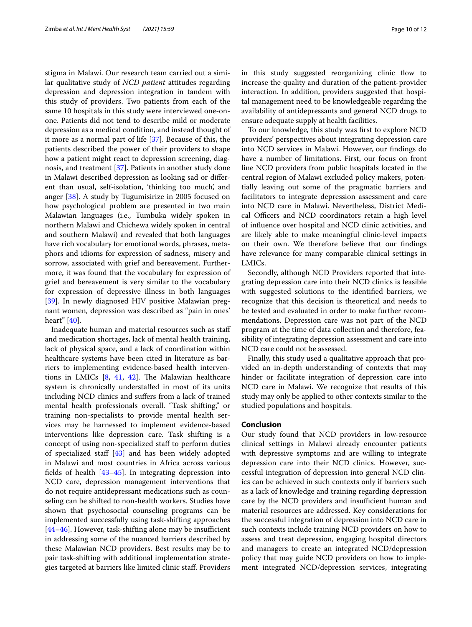stigma in Malawi. Our research team carried out a similar qualitative study of *NCD patient* attitudes regarding depression and depression integration in tandem with this study of providers. Two patients from each of the same 10 hospitals in this study were interviewed one-onone. Patients did not tend to describe mild or moderate depression as a medical condition, and instead thought of it more as a normal part of life [\[37](#page-11-23)]. Because of this, the patients described the power of their providers to shape how a patient might react to depression screening, diagnosis, and treatment [[37\]](#page-11-23). Patients in another study done in Malawi described depression as looking sad or diferent than usual, self-isolation, 'thinking too much', and anger [\[38\]](#page-11-24). A study by Tugumisirize in 2005 focused on how psychological problem are presented in two main Malawian languages (i.e., Tumbuka widely spoken in northern Malawi and Chichewa widely spoken in central and southern Malawi) and revealed that both languages have rich vocabulary for emotional words, phrases, metaphors and idioms for expression of sadness, misery and sorrow, associated with grief and bereavement. Furthermore, it was found that the vocabulary for expression of grief and bereavement is very similar to the vocabulary for expression of depressive illness in both languages [[39\]](#page-11-25). In newly diagnosed HIV positive Malawian pregnant women, depression was described as "pain in ones' heart" [\[40](#page-11-26)].

Inadequate human and material resources such as staf and medication shortages, lack of mental health training, lack of physical space, and a lack of coordination within healthcare systems have been cited in literature as barriers to implementing evidence-based health interventions in LMICs  $[8, 41, 42]$  $[8, 41, 42]$  $[8, 41, 42]$  $[8, 41, 42]$  $[8, 41, 42]$ . The Malawian healthcare system is chronically understafed in most of its units including NCD clinics and sufers from a lack of trained mental health professionals overall. "Task shifting," or training non-specialists to provide mental health services may be harnessed to implement evidence-based interventions like depression care. Task shifting is a concept of using non-specialized staf to perform duties of specialized staff  $[43]$  $[43]$  and has been widely adopted in Malawi and most countries in Africa across various felds of health [\[43–](#page-11-29)[45\]](#page-11-30). In integrating depression into NCD care, depression management interventions that do not require antidepressant medications such as counseling can be shifted to non-health workers. Studies have shown that psychosocial counseling programs can be implemented successfully using task-shifting approaches  $[44–46]$  $[44–46]$  $[44–46]$  $[44–46]$ . However, task-shifting alone may be insufficient in addressing some of the nuanced barriers described by these Malawian NCD providers. Best results may be to pair task-shifting with additional implementation strategies targeted at barriers like limited clinic staf. Providers in this study suggested reorganizing clinic flow to increase the quality and duration of the patient-provider interaction. In addition, providers suggested that hospital management need to be knowledgeable regarding the availability of antidepressants and general NCD drugs to ensure adequate supply at health facilities.

To our knowledge, this study was frst to explore NCD providers' perspectives about integrating depression care into NCD services in Malawi. However, our fndings do have a number of limitations. First, our focus on front line NCD providers from public hospitals located in the central region of Malawi excluded policy makers, potentially leaving out some of the pragmatic barriers and facilitators to integrate depression assessment and care into NCD care in Malawi. Nevertheless, District Medical Officers and NCD coordinators retain a high level of infuence over hospital and NCD clinic activities, and are likely able to make meaningful clinic-level impacts on their own. We therefore believe that our fndings have relevance for many comparable clinical settings in LMICs.

Secondly, although NCD Providers reported that integrating depression care into their NCD clinics is feasible with suggested solutions to the identifed barriers, we recognize that this decision is theoretical and needs to be tested and evaluated in order to make further recommendations. Depression care was not part of the NCD program at the time of data collection and therefore, feasibility of integrating depression assessment and care into NCD care could not be assessed.

Finally, this study used a qualitative approach that provided an in-depth understanding of contexts that may hinder or facilitate integration of depression care into NCD care in Malawi. We recognize that results of this study may only be applied to other contexts similar to the studied populations and hospitals.

## **Conclusion**

Our study found that NCD providers in low-resource clinical settings in Malawi already encounter patients with depressive symptoms and are willing to integrate depression care into their NCD clinics. However, successful integration of depression into general NCD clinics can be achieved in such contexts only if barriers such as a lack of knowledge and training regarding depression care by the NCD providers and insufficient human and material resources are addressed. Key considerations for the successful integration of depression into NCD care in such contexts include training NCD providers on how to assess and treat depression, engaging hospital directors and managers to create an integrated NCD/depression policy that may guide NCD providers on how to implement integrated NCD/depression services, integrating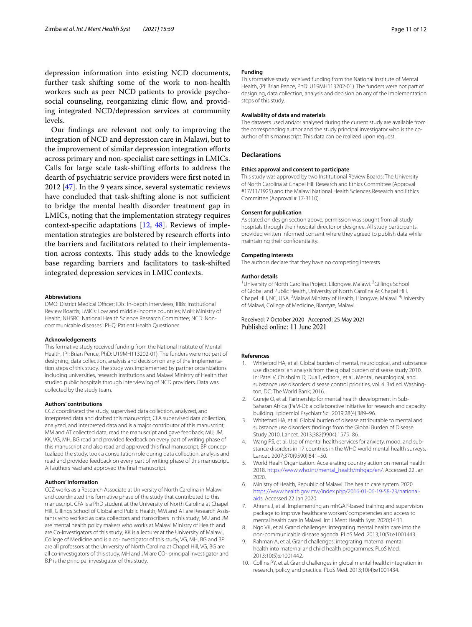depression information into existing NCD documents, further task shifting some of the work to non-health workers such as peer NCD patients to provide psychosocial counseling, reorganizing clinic flow, and providing integrated NCD/depression services at community levels.

Our fndings are relevant not only to improving the integration of NCD and depression care in Malawi, but to the improvement of similar depression integration eforts across primary and non-specialist care settings in LMICs. Calls for large scale task-shifting efforts to address the dearth of psychiatric service providers were frst noted in 2012 [\[47\]](#page-11-33). In the 9 years since, several systematic reviews have concluded that task-shifting alone is not sufficient to bridge the mental health disorder treatment gap in LMICs, noting that the implementation strategy requires context-specifc adaptations [[12](#page-11-1), [48](#page-11-34)]. Reviews of implementation strategies are bolstered by research efforts into the barriers and facilitators related to their implementation across contexts. This study adds to the knowledge base regarding barriers and facilitators to task-shifted integrated depression services in LMIC contexts.

#### **Abbreviations**

DMO: District Medical Officer; IDIs: In-depth interviews; IRBs: Institutional Review Boards; LMICs: Low and middle-income countries; MoH: Ministry of Health; NHSRC: National Health Science Research Committee; NCD: Noncommunicable diseases'; PHQ: Patient Health Questioner.

#### **Acknowledgements**

This formative study received funding from the National Institute of Mental Health, (PI: Brian Pence, PhD: U19MH113202-01). The funders were not part of designing, data collection, analysis and decision on any of the implementation steps of this study. The study was implemented by partner organizations including universities, research institutions and Malawi Ministry of Health that studied public hospitals through interviewing of NCD providers. Data was collected by the study team.

#### **Authors' contributions**

CCZ coordinated the study, supervised data collection, analyzed, and interpreted data and drafted this manuscript; CFA supervised data collection, analyzed, and interpreted data and is a major contributor of this manuscript; MM and AT collected data, read the manuscript and gave feedback; MU, JM, KK, VG, MH, BG read and provided feedback on every part of writing phase of this manuscript and also read and approved this final manuscript; BP conceptualized the study, took a consultation role during data collection, analysis and read and provided feedback on every part of writing phase of this manuscript. All authors read and approved the fnal manuscript.

#### **Authors' information**

CCZ works as a Research Associate at University of North Carolina in Malawi and coordinated this formative phase of the study that contributed to this manuscript. CFA is a PhD student at the University of North Carolina at Chapel Hill, Gillings School of Global and Public Health; MM and AT are Research Assistants who worked as data collectors and transcribers in this study; MU and JM are mental health policy makers who works at Malawi Ministry of Health and are Co-Investigators of this study; KK is a lecturer at the University of Malawi, College of Medicine and is a co-investigator of this study, VG, MH, BG and BP are all professors at the University of North Carolina at Chapel Hill, VG, BG are all co-investigators of this study, MH and JM are CO- principal investigator and B.P is the principal investigator of this study.

#### **Funding**

This formative study received funding from the National Institute of Mental Health, (PI: Brian Pence, PhD: U19MH113202-01). The funders were not part of designing, data collection, analysis and decision on any of the implementation steps of this study.

#### **Availability of data and materials**

The datasets used and/or analysed during the current study are available from the corresponding author and the study principal investigator who is the coauthor of this manuscript. This data can be realized upon request.

# **Declarations**

#### **Ethics approval and consent to participate**

This study was approved by two Institutional Review Boards: The University of North Carolina at Chapel Hill Research and Ethics Committee (Approval #17/11/1925) and the Malawi National Health Sciences Research and Ethics Committee (Approval # 17-3110).

#### **Consent for publication**

As stated on design section above, permission was sought from all study hospitals through their hospital director or designee. All study participants provided written informed consent where they agreed to publish data while maintaining their confdentiality.

#### **Competing interests**

The authors declare that they have no competing interests.

#### **Author details**

<sup>1</sup> University of North Carolina Project, Lilongwe, Malawi. <sup>2</sup> Gillings School of Global and Public Health, University of North Carolina At Chapel Hill, Chapel Hill, NC, USA.<sup>3</sup> Malawi Ministry of Health, Lilongwe, Malawi.<sup>4</sup> University of Malawi, College of Medicine, Blantyre, Malawi.

Received: 7 October 2020 Accepted: 25 May 2021 Published online: 11 June 2021

#### **References**

- <span id="page-10-0"></span>1. Whiteford HA, et al. Global burden of mental, neurological, and substance use disorders: an analysis from the global burden of disease study 2010. In: Patel V, Chisholm D, Dua T, editors., et al., Mental, neurological, and substance use disorders: disease control priorities, vol. 4. 3rd ed. Washington, DC: The World Bank; 2016.
- <span id="page-10-1"></span>2. Gureje O, et al. Partnership for mental health development in Sub-Saharan Africa (PaM-D): a collaborative initiative for research and capacity building. Epidemiol Psychiatr Sci. 2019;28(4):389–96.
- <span id="page-10-2"></span>3. Whiteford HA, et al. Global burden of disease attributable to mental and substance use disorders: fndings from the Global Burden of Disease Study 2010. Lancet. 2013;382(9904):1575–86.
- <span id="page-10-3"></span>4. Wang PS, et al. Use of mental health services for anxiety, mood, and substance disorders in 17 countries in the WHO world mental health surveys. Lancet. 2007;370(9590):841–50.
- <span id="page-10-4"></span>5. World Healh Organization. Accelerating country action on mental health. 2018. [https://www.who.int/mental\\_health/mhgap/en/](https://www.who.int/mental_health/mhgap/en/). Accessed 22 Jan 2020.
- <span id="page-10-5"></span>6. Ministry of Health, Republic of Malawi. The health care system. 2020. [https://www.health.gov.mw/index.php/2016-01-06-19-58-23/national](https://www.health.gov.mw/index.php/2016-01-06-19-58-23/national-aids) [aids](https://www.health.gov.mw/index.php/2016-01-06-19-58-23/national-aids). Accessed 22 Jan 2020
- <span id="page-10-6"></span>7. Ahrens J, et al. Implementing an mhGAP-based training and supervision package to improve healthcare workers' competencies and access to mental health care in Malawi. Int J Ment Health Syst. 2020;14:11.
- <span id="page-10-7"></span>8. Ngo VK, et al. Grand challenges: integrating mental health care into the non-communicable disease agenda. PLoS Med. 2013;10(5):e1001443.
- 9. Rahman A, et al. Grand challenges: integrating maternal mental health into maternal and child health programmes. PLoS Med. 2013;10(5):e1001442.
- <span id="page-10-8"></span>10. Collins PY, et al. Grand challenges in global mental health: integration in research, policy, and practice. PLoS Med. 2013;10(4):e1001434.